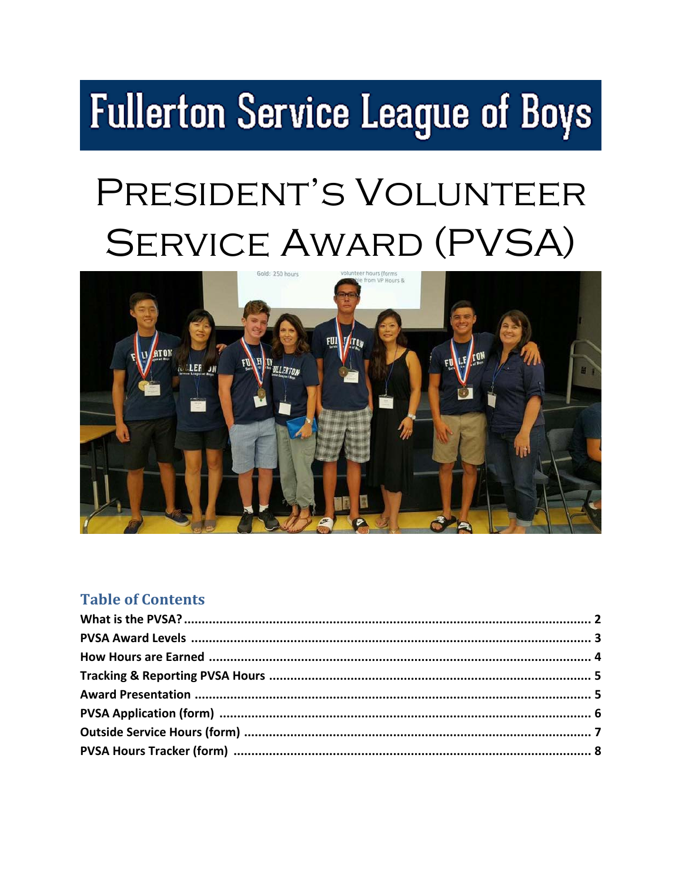# **Fullerton Service League of Boys**

## PRESIDENT'S VOLUNTEER **SERVICE AWARD (PVSA)**



#### **Table of Contents**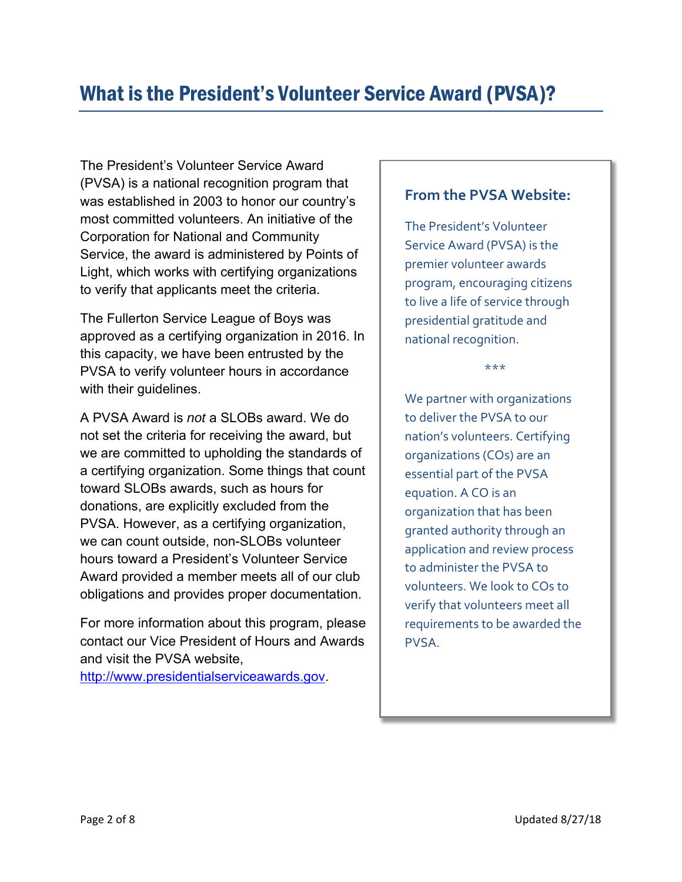The President's Volunteer Service Award (PVSA) is a national recognition program that was established in 2003 to honor our country's most committed volunteers. An initiative of the Corporation for National and Community Service, the award is administered by Points of Light, which works with certifying organizations to verify that applicants meet the criteria.

The Fullerton Service League of Boys was approved as a certifying organization in 2016. In this capacity, we have been entrusted by the PVSA to verify volunteer hours in accordance with their guidelines.

A PVSA Award is *not* a SLOBs award. We do not set the criteria for receiving the award, but we are committed to upholding the standards of a certifying organization. Some things that count toward SLOBs awards, such as hours for donations, are explicitly excluded from the PVSA. However, as a certifying organization, we can count outside, non-SLOBs volunteer hours toward a President's Volunteer Service Award provided a member meets all of our club obligations and provides proper documentation.

For more information about this program, please contact our Vice President of Hours and Awards and visit the PVSA website,

http://www.presidentialserviceawards.gov.

#### **From the PVSA Website:**

The President's Volunteer Service Award (PVSA) is the premier volunteer awards program, encouraging citizens to live a life of service through presidential gratitude and national recognition.

\*\*\*

We partner with organizations to deliver the PVSA to our nation's volunteers. Certifying organizations (COs) are an essential part of the PVSA equation. A CO is an organization that has been granted authority through an application and review process to administer the PVSA to volunteers. We look to COs to verify that volunteers meet all requirements to be awarded the PVSA.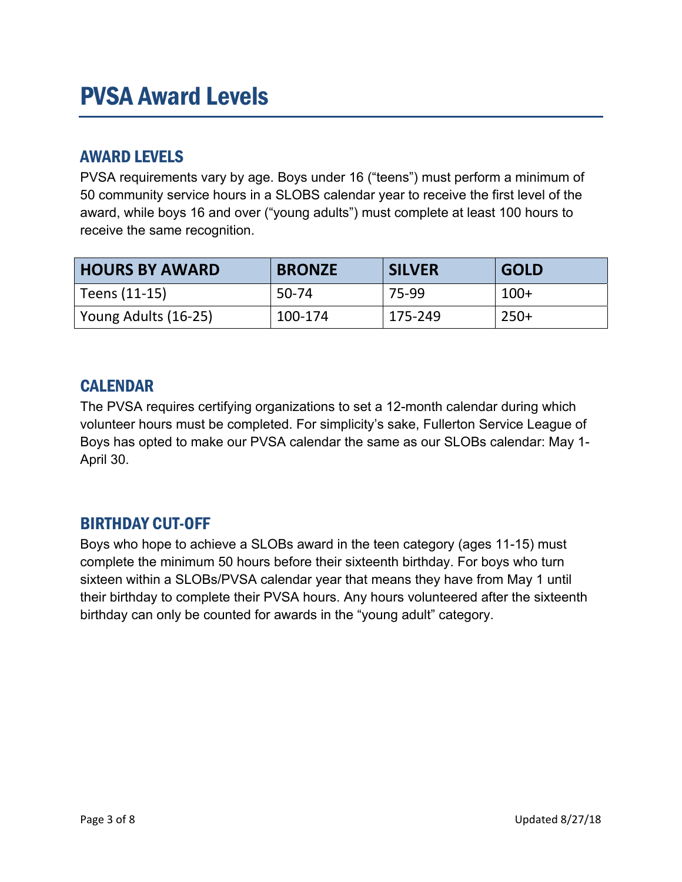## PVSA Award Levels

#### AWARD LEVELS

PVSA requirements vary by age. Boys under 16 ("teens") must perform a minimum of 50 community service hours in a SLOBS calendar year to receive the first level of the award, while boys 16 and over ("young adults") must complete at least 100 hours to receive the same recognition.

| <b>HOURS BY AWARD</b> | <b>BRONZE</b> | <b>SILVER</b> | <b>GOLD</b> |
|-----------------------|---------------|---------------|-------------|
| Teens (11-15)         | 50-74         | 75-99         | $100+$      |
| Young Adults (16-25)  | 100-174       | 175-249       | $250+$      |

#### **CALENDAR**

The PVSA requires certifying organizations to set a 12-month calendar during which volunteer hours must be completed. For simplicity's sake, Fullerton Service League of Boys has opted to make our PVSA calendar the same as our SLOBs calendar: May 1- April 30.

#### BIRTHDAY CUT-OFF

Boys who hope to achieve a SLOBs award in the teen category (ages 11-15) must complete the minimum 50 hours before their sixteenth birthday. For boys who turn sixteen within a SLOBs/PVSA calendar year that means they have from May 1 until their birthday to complete their PVSA hours. Any hours volunteered after the sixteenth birthday can only be counted for awards in the "young adult" category.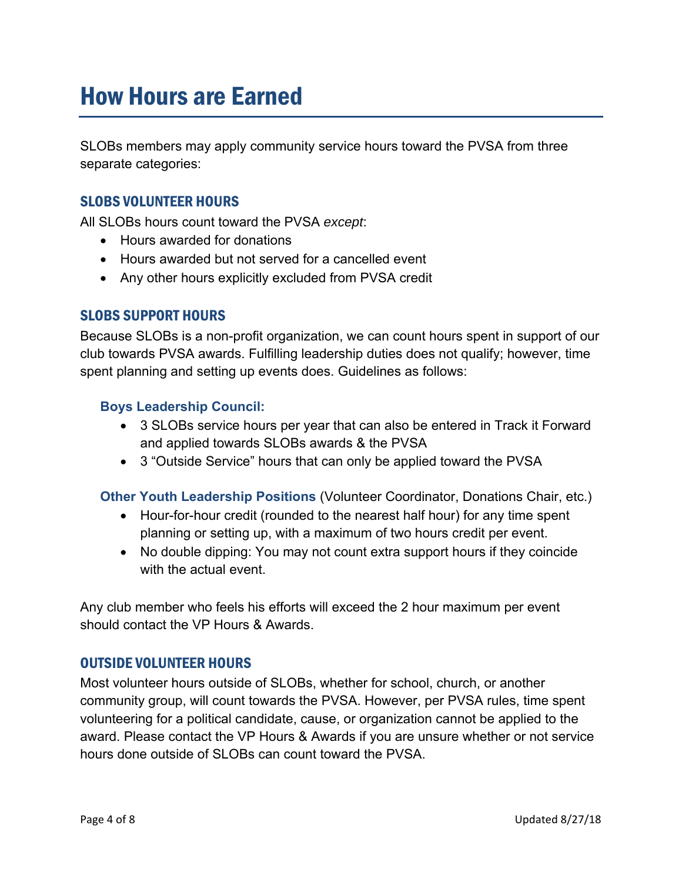## How Hours are Earned

SLOBs members may apply community service hours toward the PVSA from three separate categories:

#### SLOBS VOLUNTEER HOURS

All SLOBs hours count toward the PVSA *except*:

- Hours awarded for donations
- Hours awarded but not served for a cancelled event
- Any other hours explicitly excluded from PVSA credit

#### SLOBS SUPPORT HOURS

Because SLOBs is a non-profit organization, we can count hours spent in support of our club towards PVSA awards. Fulfilling leadership duties does not qualify; however, time spent planning and setting up events does. Guidelines as follows:

#### **Boys Leadership Council:**

- 3 SLOBs service hours per year that can also be entered in Track it Forward and applied towards SLOBs awards & the PVSA
- 3 "Outside Service" hours that can only be applied toward the PVSA

**Other Youth Leadership Positions** (Volunteer Coordinator, Donations Chair, etc.)

- Hour-for-hour credit (rounded to the nearest half hour) for any time spent planning or setting up, with a maximum of two hours credit per event.
- No double dipping: You may not count extra support hours if they coincide with the actual event.

Any club member who feels his efforts will exceed the 2 hour maximum per event should contact the VP Hours & Awards.

#### OUTSIDE VOLUNTEER HOURS

Most volunteer hours outside of SLOBs, whether for school, church, or another community group, will count towards the PVSA. However, per PVSA rules, time spent volunteering for a political candidate, cause, or organization cannot be applied to the award. Please contact the VP Hours & Awards if you are unsure whether or not service hours done outside of SLOBs can count toward the PVSA.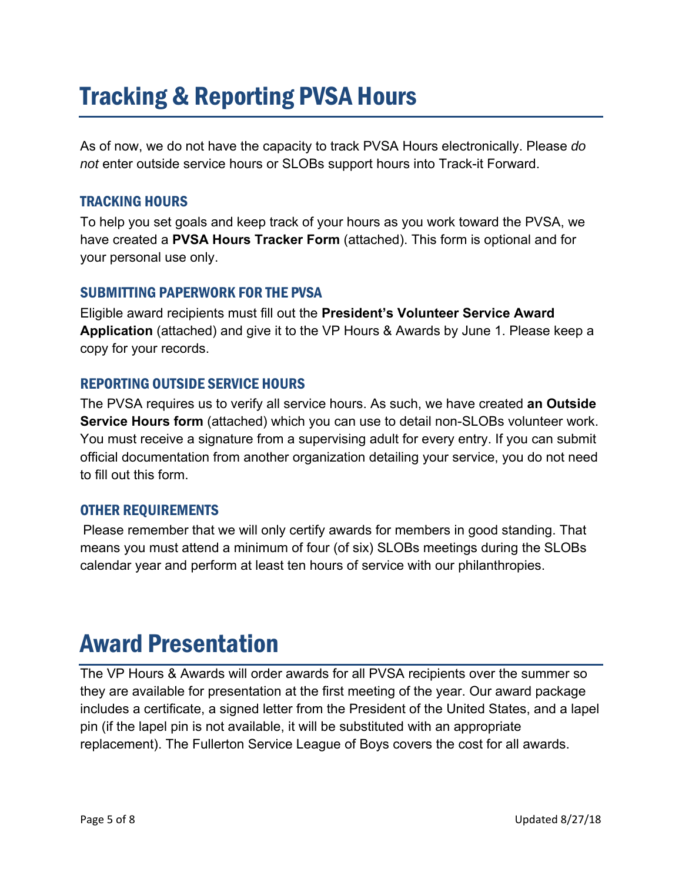## Tracking & Reporting PVSA Hours

As of now, we do not have the capacity to track PVSA Hours electronically. Please *do not* enter outside service hours or SLOBs support hours into Track-it Forward.

#### TRACKING HOURS

To help you set goals and keep track of your hours as you work toward the PVSA, we have created a **PVSA Hours Tracker Form** (attached). This form is optional and for your personal use only.

#### SUBMITTING PAPERWORK FOR THE PVSA

Eligible award recipients must fill out the **President's Volunteer Service Award Application** (attached) and give it to the VP Hours & Awards by June 1. Please keep a copy for your records.

#### REPORTING OUTSIDE SERVICE HOURS

The PVSA requires us to verify all service hours. As such, we have created **an Outside Service Hours form** (attached) which you can use to detail non-SLOBs volunteer work. You must receive a signature from a supervising adult for every entry. If you can submit official documentation from another organization detailing your service, you do not need to fill out this form.

#### OTHER REQUIREMENTS

Please remember that we will only certify awards for members in good standing. That means you must attend a minimum of four (of six) SLOBs meetings during the SLOBs calendar year and perform at least ten hours of service with our philanthropies.

## Award Presentation

The VP Hours & Awards will order awards for all PVSA recipients over the summer so they are available for presentation at the first meeting of the year. Our award package includes a certificate, a signed letter from the President of the United States, and a lapel pin (if the lapel pin is not available, it will be substituted with an appropriate replacement). The Fullerton Service League of Boys covers the cost for all awards.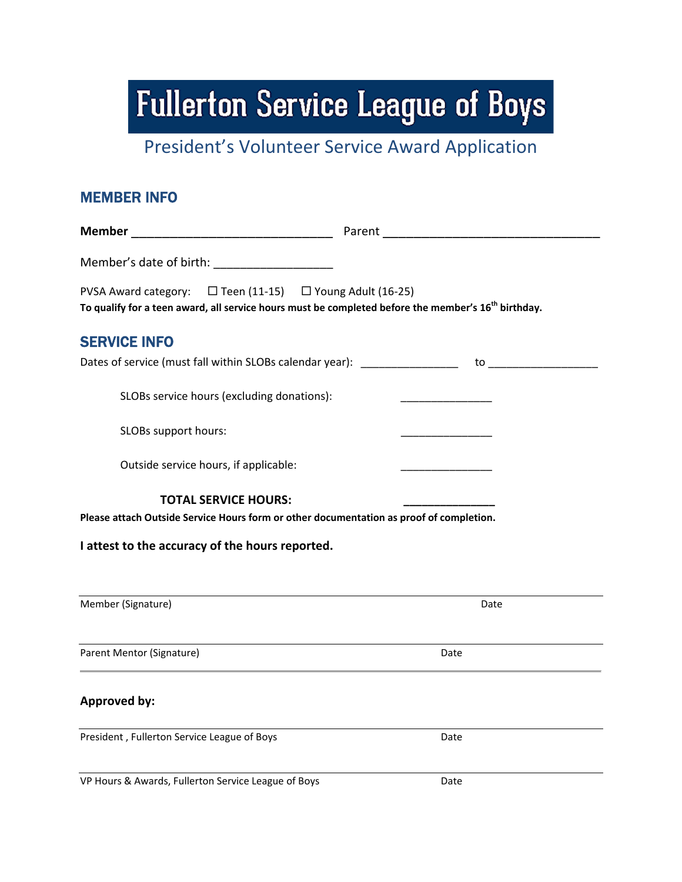**Fullerton Service League of Boys** 

President's Volunteer Service Award Application

| <b>MEMBER INFO</b>                                                                                                                                                           |                                            |
|------------------------------------------------------------------------------------------------------------------------------------------------------------------------------|--------------------------------------------|
|                                                                                                                                                                              |                                            |
| Member's date of birth: ____________________                                                                                                                                 |                                            |
| PVSA Award category: □ Teen (11-15) □ Young Adult (16-25)<br>To qualify for a teen award, all service hours must be completed before the member's 16 <sup>th</sup> birthday. |                                            |
| <b>SERVICE INFO</b>                                                                                                                                                          |                                            |
|                                                                                                                                                                              |                                            |
| SLOBs service hours (excluding donations):                                                                                                                                   | <u> 1980 - Johann Barn, mars ann an t-</u> |
| SLOBs support hours:                                                                                                                                                         |                                            |
| Outside service hours, if applicable:                                                                                                                                        |                                            |
| <b>TOTAL SERVICE HOURS:</b>                                                                                                                                                  |                                            |
| Please attach Outside Service Hours form or other documentation as proof of completion.                                                                                      |                                            |
| I attest to the accuracy of the hours reported.                                                                                                                              |                                            |
|                                                                                                                                                                              |                                            |
| Member (Signature)                                                                                                                                                           | Date                                       |
| Parent Mentor (Signature)                                                                                                                                                    | Date                                       |
| <b>Approved by:</b>                                                                                                                                                          |                                            |
| President, Fullerton Service League of Boys                                                                                                                                  | Date                                       |
| VP Hours & Awards, Fullerton Service League of Boys                                                                                                                          | Date                                       |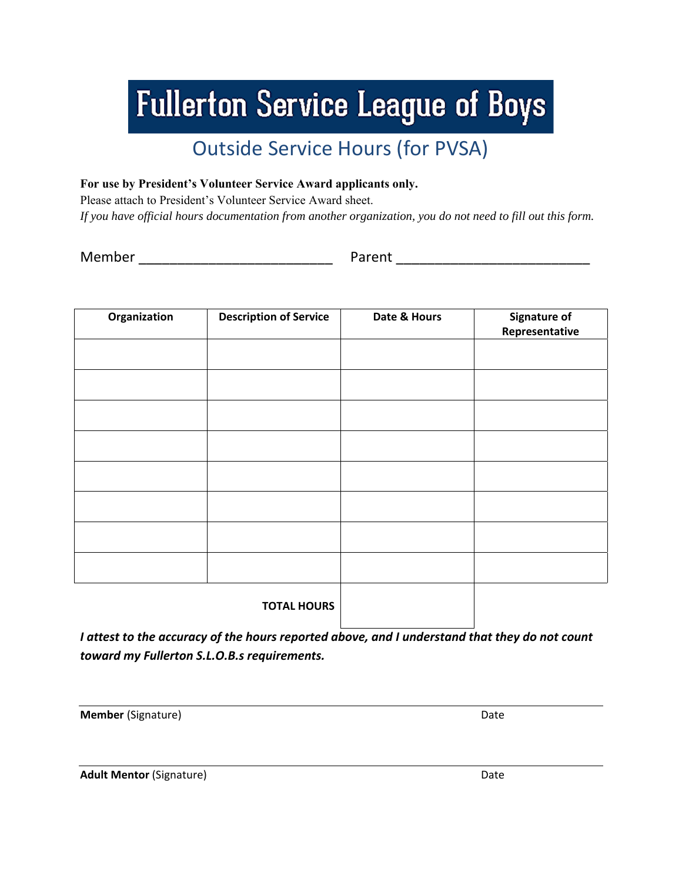## **Fullerton Service League of Boys**

### Outside Service Hours (for PVSA)

**For use by President's Volunteer Service Award applicants only.** 

Please attach to President's Volunteer Service Award sheet.

*If you have official hours documentation from another organization, you do not need to fill out this form.* 

Member \_\_\_\_\_\_\_\_\_\_\_\_\_\_\_\_\_\_\_\_\_\_\_\_\_ Parent \_\_\_\_\_\_\_\_\_\_\_\_\_\_\_\_\_\_\_\_\_\_\_\_\_

| Organization | <b>Description of Service</b> | Date & Hours | <b>Signature of</b><br>Representative |  |
|--------------|-------------------------------|--------------|---------------------------------------|--|
|              |                               |              |                                       |  |
|              |                               |              |                                       |  |
|              |                               |              |                                       |  |
|              |                               |              |                                       |  |
|              |                               |              |                                       |  |
|              |                               |              |                                       |  |
|              |                               |              |                                       |  |
|              |                               |              |                                       |  |
|              | <b>TOTAL HOURS</b>            |              |                                       |  |

*I attest to the accuracy of the hours reported above, and I understand that they do not count toward my Fullerton S.L.O.B.s requirements.* 

**Member** (Signature) Date

**Adult Mentor** (Signature) Date